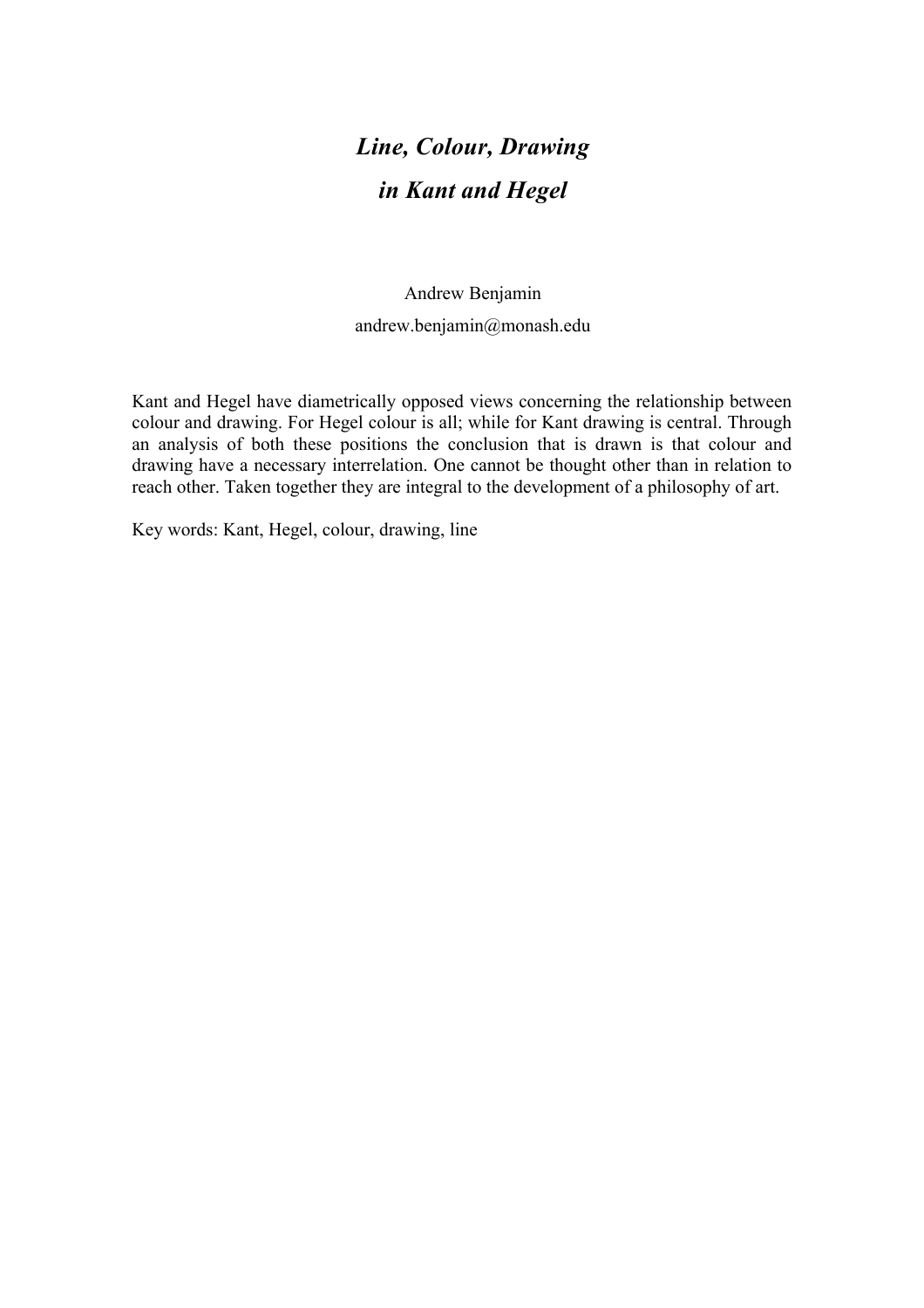# *Line, Colour, Drawing in Kant and Hegel*

### Andrew Benjamin andrew.benjamin@monash.edu

Kant and Hegel have diametrically opposed views concerning the relationship between colour and drawing. For Hegel colour is all; while for Kant drawing is central. Through an analysis of both these positions the conclusion that is drawn is that colour and drawing have a necessary interrelation. One cannot be thought other than in relation to reach other. Taken together they are integral to the development of a philosophy of art.

Key words: Kant, Hegel, colour, drawing, line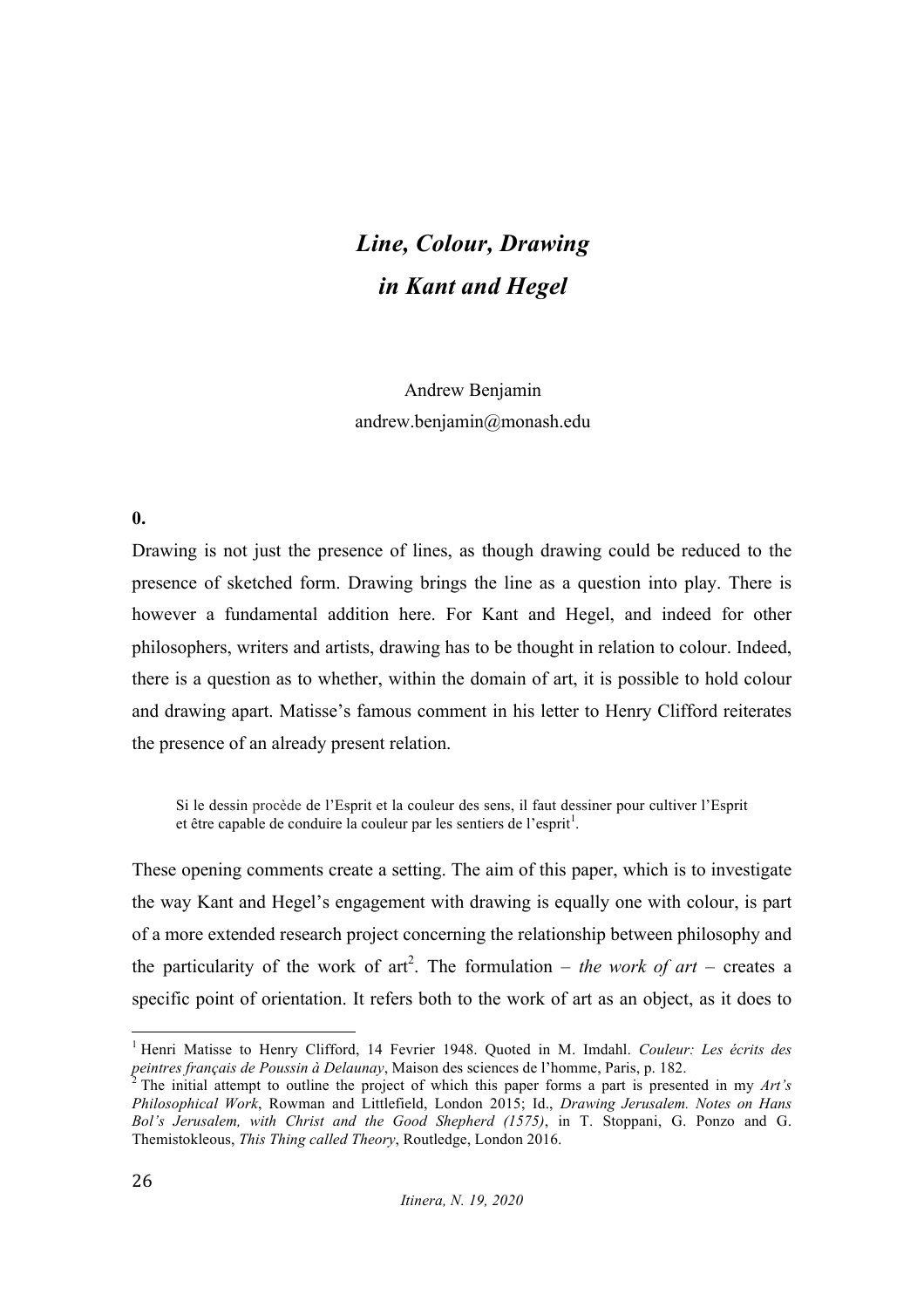# *Line, Colour, Drawing in Kant and Hegel*

Andrew Benjamin andrew.benjamin@monash.edu

#### **0.**

Drawing is not just the presence of lines, as though drawing could be reduced to the presence of sketched form. Drawing brings the line as a question into play. There is however a fundamental addition here. For Kant and Hegel, and indeed for other philosophers, writers and artists, drawing has to be thought in relation to colour. Indeed, there is a question as to whether, within the domain of art, it is possible to hold colour and drawing apart. Matisse's famous comment in his letter to Henry Clifford reiterates the presence of an already present relation.

Si le dessin procède de l'Esprit et la couleur des sens, il faut dessiner pour cultiver l'Esprit et être capable de conduire la couleur par les sentiers de l'esprit<sup>1</sup>.

These opening comments create a setting. The aim of this paper, which is to investigate the way Kant and Hegel's engagement with drawing is equally one with colour, is part of a more extended research project concerning the relationship between philosophy and the particularity of the work of  $art^2$ . The formulation – *the work of art* – creates a specific point of orientation. It refers both to the work of art as an object, as it does to

 <sup>1</sup> Henri Matisse to Henry Clifford, 14 Fevrier 1948. Quoted in M. Imdahl. *Couleur: Les écrits des peintres français de Poussin à Delaunay*, Maison des sciences de l'homme, Paris, p. 182.<br><sup>2</sup> The initial attempt to outline the project of which this paper forms a part is presented in my *Art's* 

*Philosophical Work*, Rowman and Littlefield, London 2015; Id., *Drawing Jerusalem. Notes on Hans Bol's Jerusalem, with Christ and the Good Shepherd (1575)*, in T. Stoppani, G. Ponzo and G. Themistokleous, *This Thing called Theory*, Routledge, London 2016.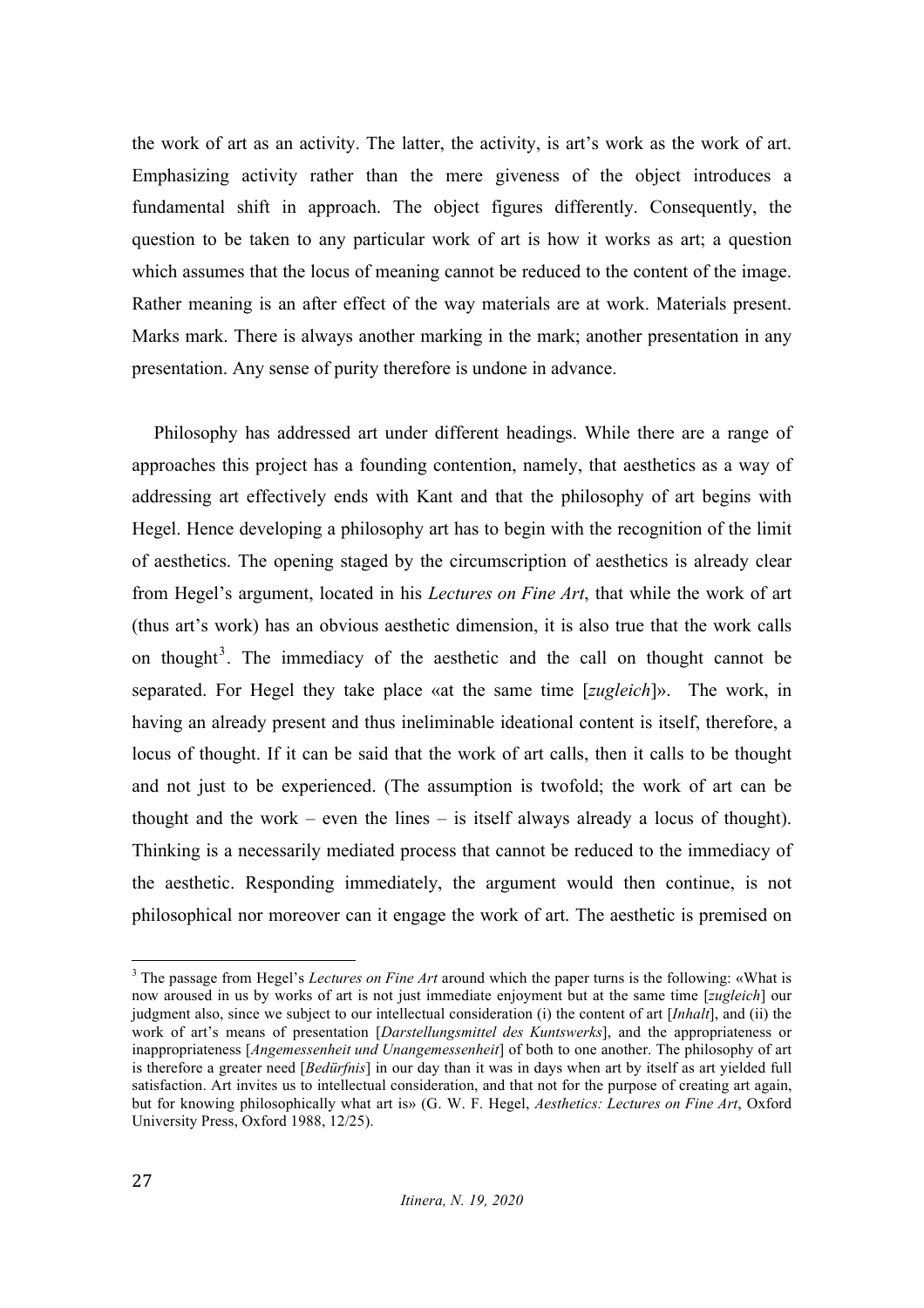the work of art as an activity. The latter, the activity, is art's work as the work of art. Emphasizing activity rather than the mere giveness of the object introduces a fundamental shift in approach. The object figures differently. Consequently, the question to be taken to any particular work of art is how it works as art; a question which assumes that the locus of meaning cannot be reduced to the content of the image. Rather meaning is an after effect of the way materials are at work. Materials present. Marks mark. There is always another marking in the mark; another presentation in any presentation. Any sense of purity therefore is undone in advance.

Philosophy has addressed art under different headings. While there are a range of approaches this project has a founding contention, namely, that aesthetics as a way of addressing art effectively ends with Kant and that the philosophy of art begins with Hegel. Hence developing a philosophy art has to begin with the recognition of the limit of aesthetics. The opening staged by the circumscription of aesthetics is already clear from Hegel's argument, located in his *Lectures on Fine Art*, that while the work of art (thus art's work) has an obvious aesthetic dimension, it is also true that the work calls on thought<sup>3</sup>. The immediacy of the aesthetic and the call on thought cannot be separated. For Hegel they take place «at the same time [*zugleich*]». The work, in having an already present and thus ineliminable ideational content is itself, therefore, a locus of thought. If it can be said that the work of art calls, then it calls to be thought and not just to be experienced. (The assumption is twofold; the work of art can be thought and the work – even the lines – is itself always already a locus of thought). Thinking is a necessarily mediated process that cannot be reduced to the immediacy of the aesthetic. Responding immediately, the argument would then continue, is not philosophical nor moreover can it engage the work of art. The aesthetic is premised on

 <sup>3</sup> The passage from Hegel's *Lectures on Fine Art* around which the paper turns is the following: «What is now aroused in us by works of art is not just immediate enjoyment but at the same time [*zugleich*] our judgment also, since we subject to our intellectual consideration (i) the content of art [*Inhalt*], and (ii) the work of art's means of presentation [*Darstellungsmittel des Kuntswerks*], and the appropriateness or inappropriateness [*Angemessenheit und Unangemessenheit*] of both to one another. The philosophy of art is therefore a greater need [*Bedürfnis*] in our day than it was in days when art by itself as art yielded full satisfaction. Art invites us to intellectual consideration, and that not for the purpose of creating art again, but for knowing philosophically what art is» (G. W. F. Hegel, *Aesthetics: Lectures on Fine Art*, Oxford University Press, Oxford 1988, 12/25).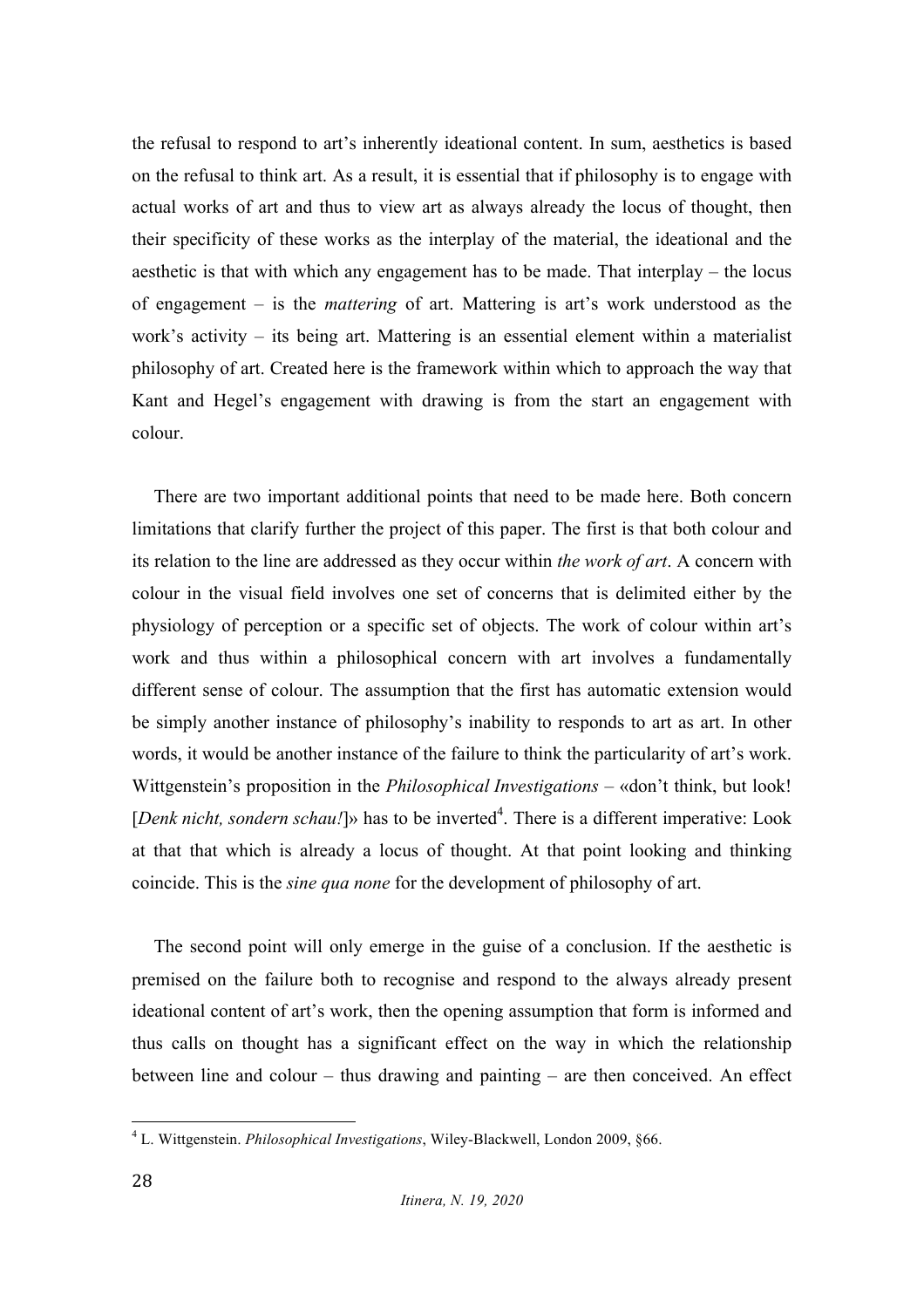the refusal to respond to art's inherently ideational content. In sum, aesthetics is based on the refusal to think art. As a result, it is essential that if philosophy is to engage with actual works of art and thus to view art as always already the locus of thought, then their specificity of these works as the interplay of the material, the ideational and the aesthetic is that with which any engagement has to be made. That interplay – the locus of engagement – is the *mattering* of art. Mattering is art's work understood as the work's activity – its being art. Mattering is an essential element within a materialist philosophy of art. Created here is the framework within which to approach the way that Kant and Hegel's engagement with drawing is from the start an engagement with colour.

There are two important additional points that need to be made here. Both concern limitations that clarify further the project of this paper. The first is that both colour and its relation to the line are addressed as they occur within *the work of art*. A concern with colour in the visual field involves one set of concerns that is delimited either by the physiology of perception or a specific set of objects. The work of colour within art's work and thus within a philosophical concern with art involves a fundamentally different sense of colour. The assumption that the first has automatic extension would be simply another instance of philosophy's inability to responds to art as art. In other words, it would be another instance of the failure to think the particularity of art's work. Wittgenstein's proposition in the *Philosophical Investigations* – «don't think, but look! [*Denk nicht, sondern schau!*]» has to be inverted<sup>4</sup>. There is a different imperative: Look at that that which is already a locus of thought. At that point looking and thinking coincide. This is the *sine qua none* for the development of philosophy of art.

The second point will only emerge in the guise of a conclusion. If the aesthetic is premised on the failure both to recognise and respond to the always already present ideational content of art's work, then the opening assumption that form is informed and thus calls on thought has a significant effect on the way in which the relationship between line and colour – thus drawing and painting – are then conceived. An effect

 <sup>4</sup> L. Wittgenstein. *Philosophical Investigations*, Wiley-Blackwell, London 2009, §66.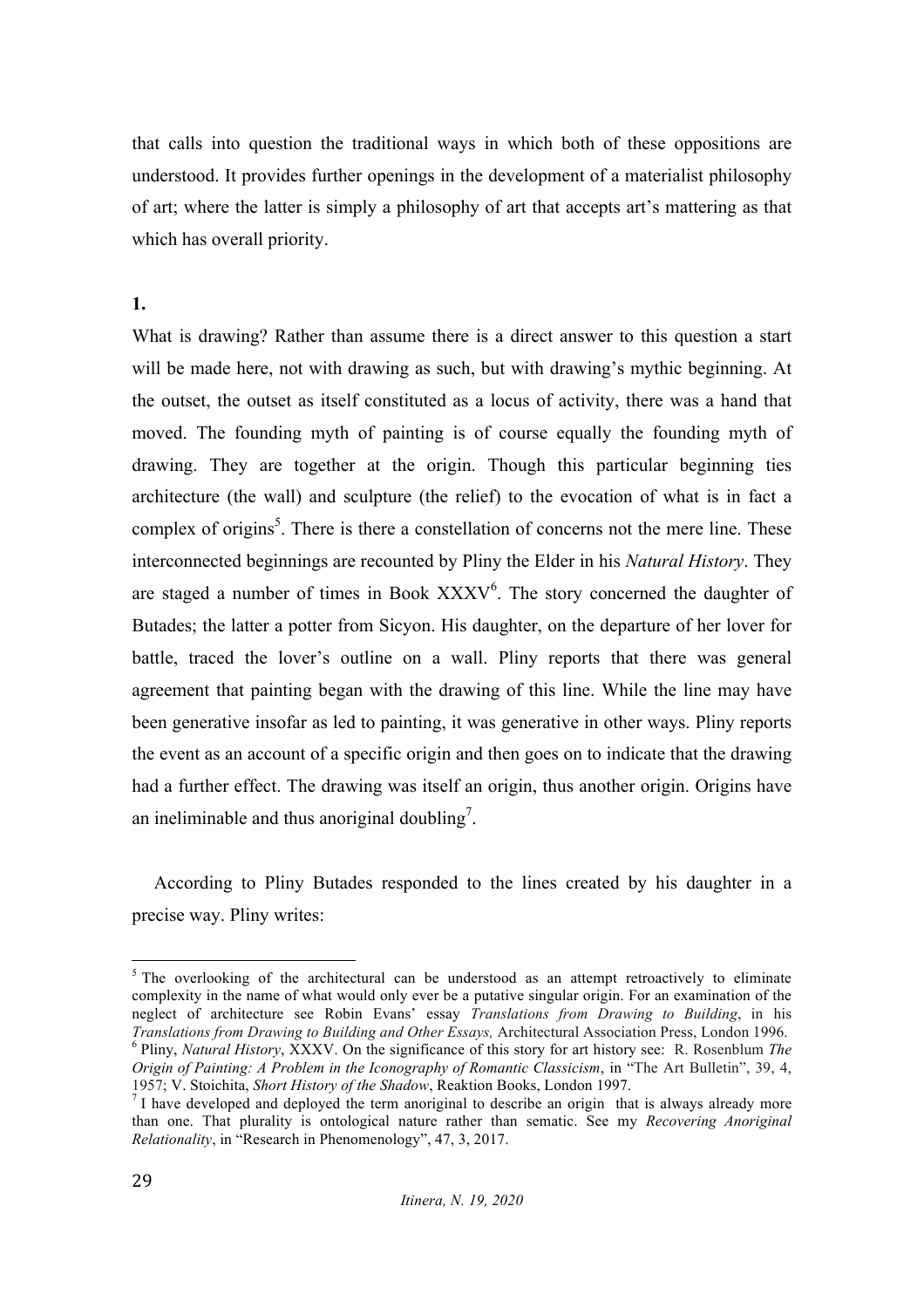that calls into question the traditional ways in which both of these oppositions are understood. It provides further openings in the development of a materialist philosophy of art; where the latter is simply a philosophy of art that accepts art's mattering as that which has overall priority.

### **1.**

What is drawing? Rather than assume there is a direct answer to this question a start will be made here, not with drawing as such, but with drawing's mythic beginning. At the outset, the outset as itself constituted as a locus of activity, there was a hand that moved. The founding myth of painting is of course equally the founding myth of drawing. They are together at the origin. Though this particular beginning ties architecture (the wall) and sculpture (the relief) to the evocation of what is in fact a complex of origins<sup>5</sup>. There is there a constellation of concerns not the mere line. These interconnected beginnings are recounted by Pliny the Elder in his *Natural History*. They are staged a number of times in Book  $\text{XXXV}^6$ . The story concerned the daughter of Butades; the latter a potter from Sicyon. His daughter, on the departure of her lover for battle, traced the lover's outline on a wall. Pliny reports that there was general agreement that painting began with the drawing of this line. While the line may have been generative insofar as led to painting, it was generative in other ways. Pliny reports the event as an account of a specific origin and then goes on to indicate that the drawing had a further effect. The drawing was itself an origin, thus another origin. Origins have an ineliminable and thus anoriginal doubling<sup>7</sup>.

According to Pliny Butades responded to the lines created by his daughter in a precise way. Pliny writes:

<sup>&</sup>lt;sup>5</sup> The overlooking of the architectural can be understood as an attempt retroactively to eliminate complexity in the name of what would only ever be a putative singular origin. For an examination of the neglect of architecture see Robin Evans' essay *Translations from Drawing to Building*, in his *Translations from Drawing to Building and Other Essays*, Architectural Association Press, London 1996.  $6$  Pliny, *Natural History*, XXXV. On the significance of this story for art history see: R. Rosenblum *The Origin of Painting: A Problem in the Iconography of Romantic Classicism*, in "The Art Bulletin", 39, 4, 1957: V. Stoichita. Short History of the Shadow. Reaktion Books. London 1997.

<sup>&</sup>lt;sup>7</sup> I have developed and deployed the term anoriginal to describe an origin that is always already more than one. That plurality is ontological nature rather than sematic. See my *Recovering Anoriginal Relationality*, in "Research in Phenomenology", 47, 3, 2017.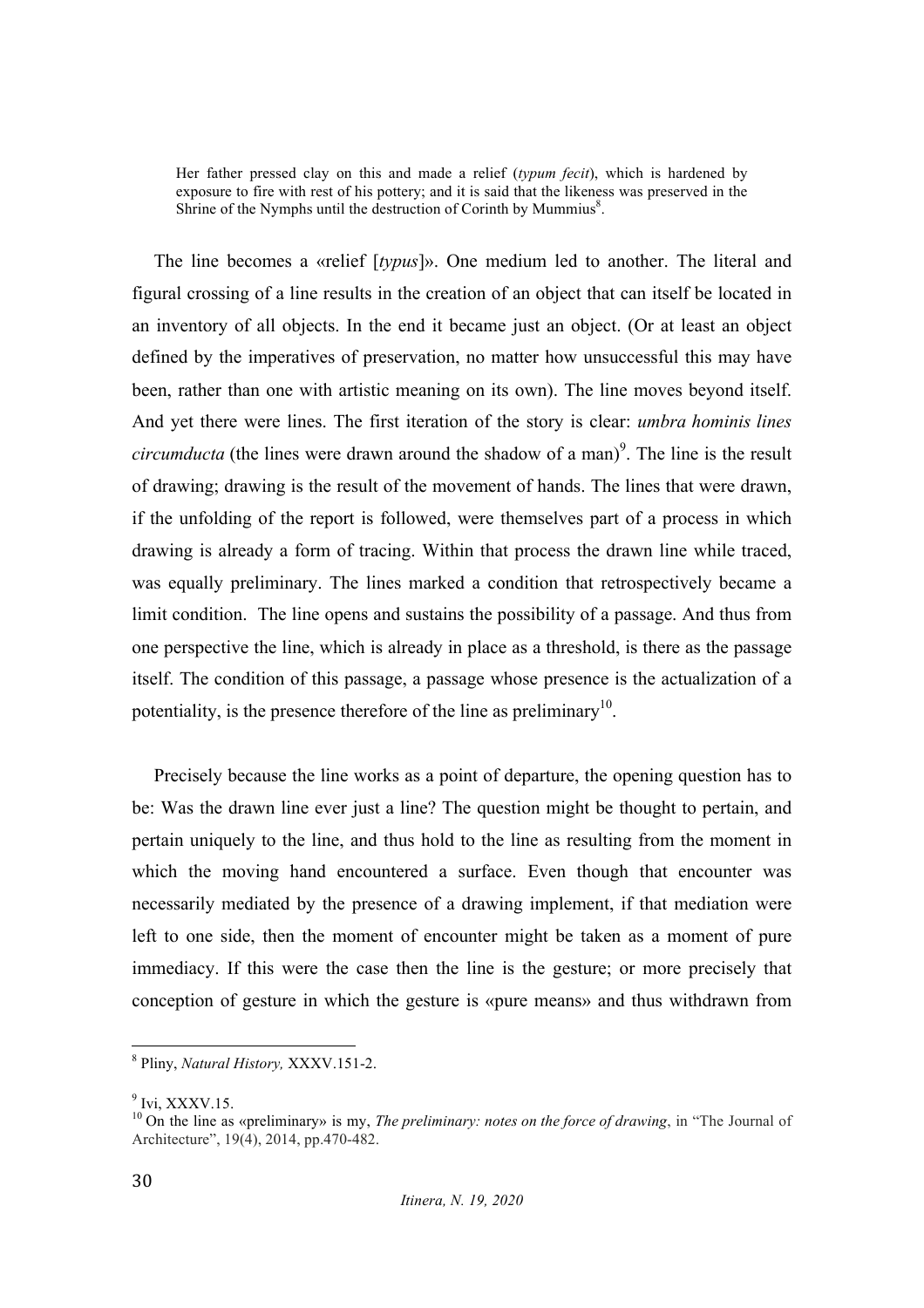Her father pressed clay on this and made a relief (*typum fecit*), which is hardened by exposure to fire with rest of his pottery; and it is said that the likeness was preserved in the Shrine of the Nymphs until the destruction of Corinth by Mummius<sup>8</sup>.

The line becomes a «relief [*typus*]». One medium led to another. The literal and figural crossing of a line results in the creation of an object that can itself be located in an inventory of all objects. In the end it became just an object. (Or at least an object defined by the imperatives of preservation, no matter how unsuccessful this may have been, rather than one with artistic meaning on its own). The line moves beyond itself. And yet there were lines. The first iteration of the story is clear: *umbra hominis lines circumducta* (the lines were drawn around the shadow of a man)<sup>9</sup>. The line is the result of drawing; drawing is the result of the movement of hands. The lines that were drawn, if the unfolding of the report is followed, were themselves part of a process in which drawing is already a form of tracing. Within that process the drawn line while traced, was equally preliminary. The lines marked a condition that retrospectively became a limit condition. The line opens and sustains the possibility of a passage. And thus from one perspective the line, which is already in place as a threshold, is there as the passage itself. The condition of this passage, a passage whose presence is the actualization of a potentiality, is the presence therefore of the line as preliminary<sup>10</sup>.

Precisely because the line works as a point of departure, the opening question has to be: Was the drawn line ever just a line? The question might be thought to pertain, and pertain uniquely to the line, and thus hold to the line as resulting from the moment in which the moving hand encountered a surface. Even though that encounter was necessarily mediated by the presence of a drawing implement, if that mediation were left to one side, then the moment of encounter might be taken as a moment of pure immediacy. If this were the case then the line is the gesture; or more precisely that conception of gesture in which the gesture is «pure means» and thus withdrawn from

 <sup>8</sup> Pliny, *Natural History,* XXXV.151-2.

 $9$  Ivi, XXXV.15.

<sup>10</sup> On the line as «preliminary» is my, *The preliminary: notes on the force of drawing*, in "The Journal of Architecture", 19(4), 2014, pp.470-482.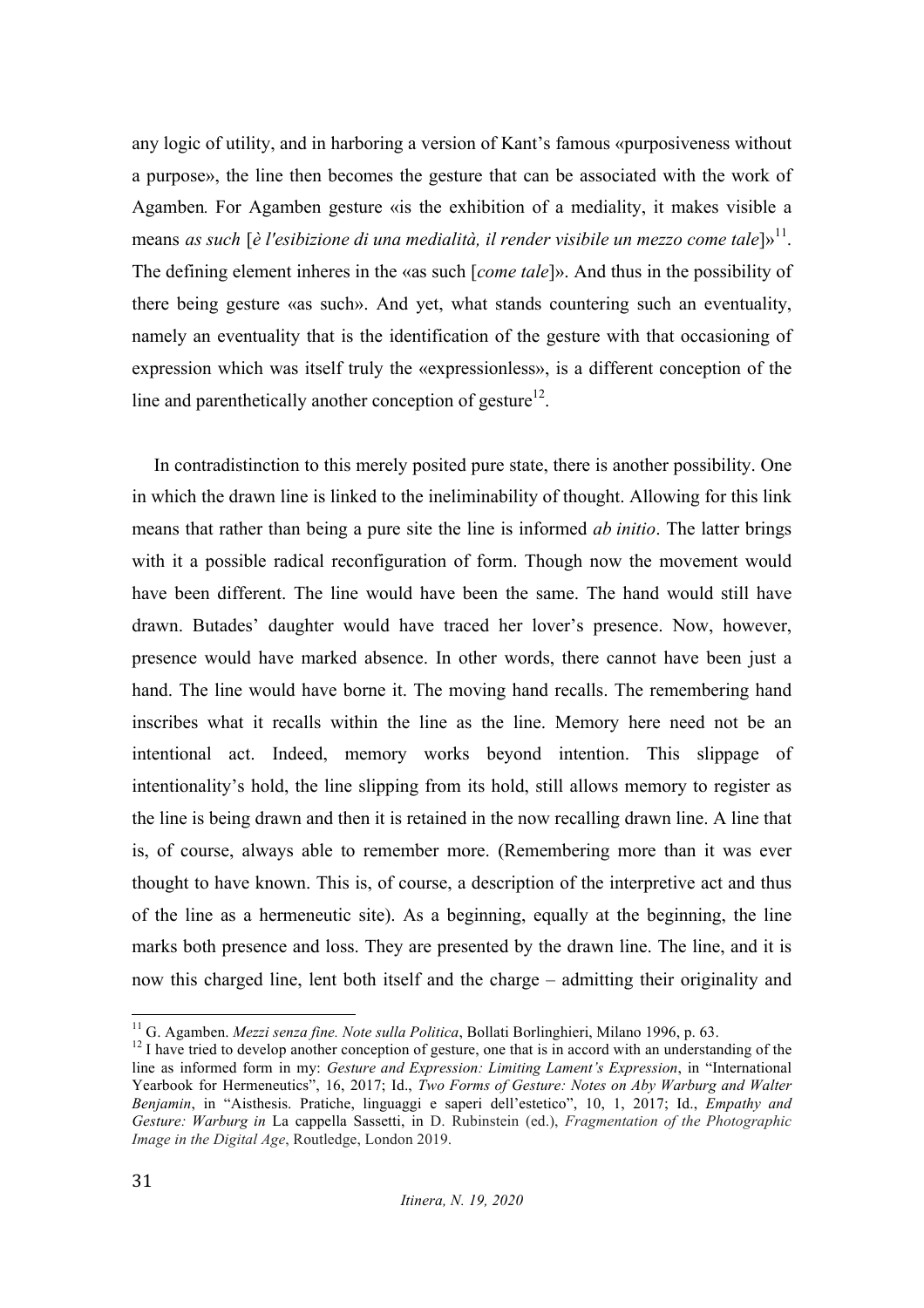any logic of utility, and in harboring a version of Kant's famous «purposiveness without a purpose», the line then becomes the gesture that can be associated with the work of Agamben*.* For Agamben gesture «is the exhibition of a mediality, it makes visible a means *as such* [*è l'esibizione di una medialità, il render visibile un mezzo come tale*]»<sup>11</sup>. The defining element inheres in the «as such [*come tale*]». And thus in the possibility of there being gesture «as such». And yet, what stands countering such an eventuality, namely an eventuality that is the identification of the gesture with that occasioning of expression which was itself truly the «expressionless», is a different conception of the line and parenthetically another conception of gesture<sup>12</sup>.

In contradistinction to this merely posited pure state, there is another possibility. One in which the drawn line is linked to the ineliminability of thought. Allowing for this link means that rather than being a pure site the line is informed *ab initio*. The latter brings with it a possible radical reconfiguration of form. Though now the movement would have been different. The line would have been the same. The hand would still have drawn. Butades' daughter would have traced her lover's presence. Now, however, presence would have marked absence. In other words, there cannot have been just a hand. The line would have borne it. The moving hand recalls. The remembering hand inscribes what it recalls within the line as the line. Memory here need not be an intentional act. Indeed, memory works beyond intention. This slippage of intentionality's hold, the line slipping from its hold, still allows memory to register as the line is being drawn and then it is retained in the now recalling drawn line. A line that is, of course, always able to remember more. (Remembering more than it was ever thought to have known. This is, of course, a description of the interpretive act and thus of the line as a hermeneutic site). As a beginning, equally at the beginning, the line marks both presence and loss. They are presented by the drawn line. The line, and it is now this charged line, lent both itself and the charge – admitting their originality and

<sup>&</sup>lt;sup>11</sup> G. Agamben. *Mezzi senza fine. Note sulla Politica*, Bollati Borlinghieri, Milano 1996, p. 63. <sup>12</sup> I have tried to develop another conception of gesture, one that is in accord with an understanding of the line as informed form in my: *Gesture and Expression: Limiting Lament's Expression*, in "International Yearbook for Hermeneutics", 16, 2017; Id., *Two Forms of Gesture: Notes on Aby Warburg and Walter Benjamin*, in "Aisthesis. Pratiche, linguaggi e saperi dell'estetico", 10, 1, 2017; Id., *Empathy and Gesture: Warburg in* La cappella Sassetti, in D. Rubinstein (ed.), *Fragmentation of the Photographic Image in the Digital Age*, Routledge, London 2019.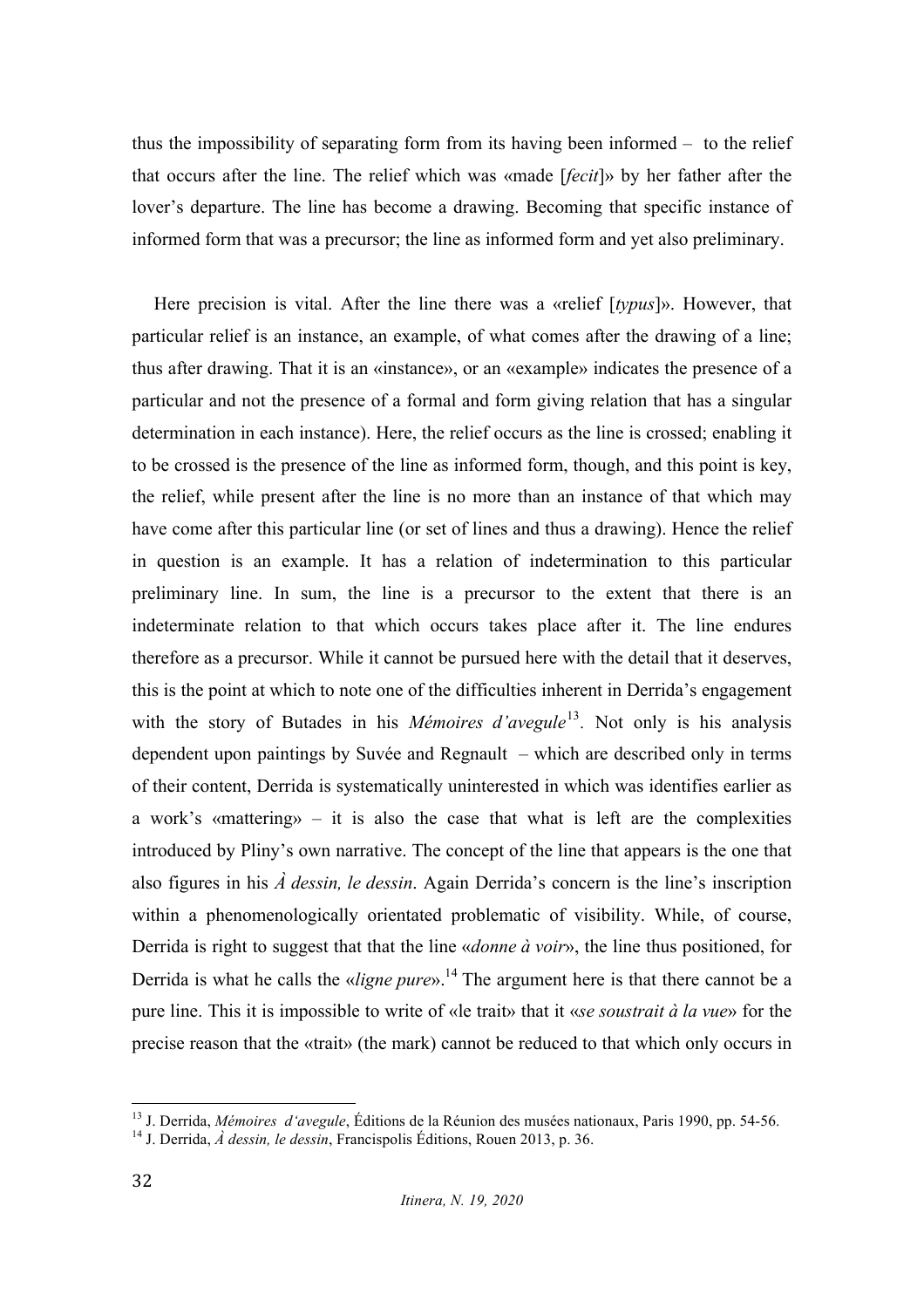thus the impossibility of separating form from its having been informed – to the relief that occurs after the line. The relief which was «made [*fecit*]» by her father after the lover's departure. The line has become a drawing. Becoming that specific instance of informed form that was a precursor; the line as informed form and yet also preliminary.

Here precision is vital. After the line there was a «relief [*typus*]». However, that particular relief is an instance, an example, of what comes after the drawing of a line; thus after drawing. That it is an «instance», or an «example» indicates the presence of a particular and not the presence of a formal and form giving relation that has a singular determination in each instance). Here, the relief occurs as the line is crossed; enabling it to be crossed is the presence of the line as informed form, though, and this point is key, the relief, while present after the line is no more than an instance of that which may have come after this particular line (or set of lines and thus a drawing). Hence the relief in question is an example. It has a relation of indetermination to this particular preliminary line. In sum, the line is a precursor to the extent that there is an indeterminate relation to that which occurs takes place after it. The line endures therefore as a precursor. While it cannot be pursued here with the detail that it deserves, this is the point at which to note one of the difficulties inherent in Derrida's engagement with the story of Butades in his *Mémoires d'avegule*<sup>13</sup>. Not only is his analysis dependent upon paintings by Suvée and Regnault – which are described only in terms of their content, Derrida is systematically uninterested in which was identifies earlier as a work's «mattering» – it is also the case that what is left are the complexities introduced by Pliny's own narrative. The concept of the line that appears is the one that also figures in his *À dessin, le dessin*. Again Derrida's concern is the line's inscription within a phenomenologically orientated problematic of visibility. While, of course, Derrida is right to suggest that that the line «*donne à voir*», the line thus positioned, for Derrida is what he calls the «*ligne pure*». <sup>14</sup> The argument here is that there cannot be a pure line. This it is impossible to write of «le trait» that it «*se soustrait à la vue*» for the precise reason that the «trait» (the mark) cannot be reduced to that which only occurs in

<sup>&</sup>lt;sup>13</sup> J. Derrida, *Mémoires d'avegule*, Éditions de la Réunion des musées nationaux, Paris 1990, pp. 54-56.<br><sup>14</sup> J. Derrida. *À dessin. le dessin*, Francispolis Éditions, Rouen 2013, p. 36.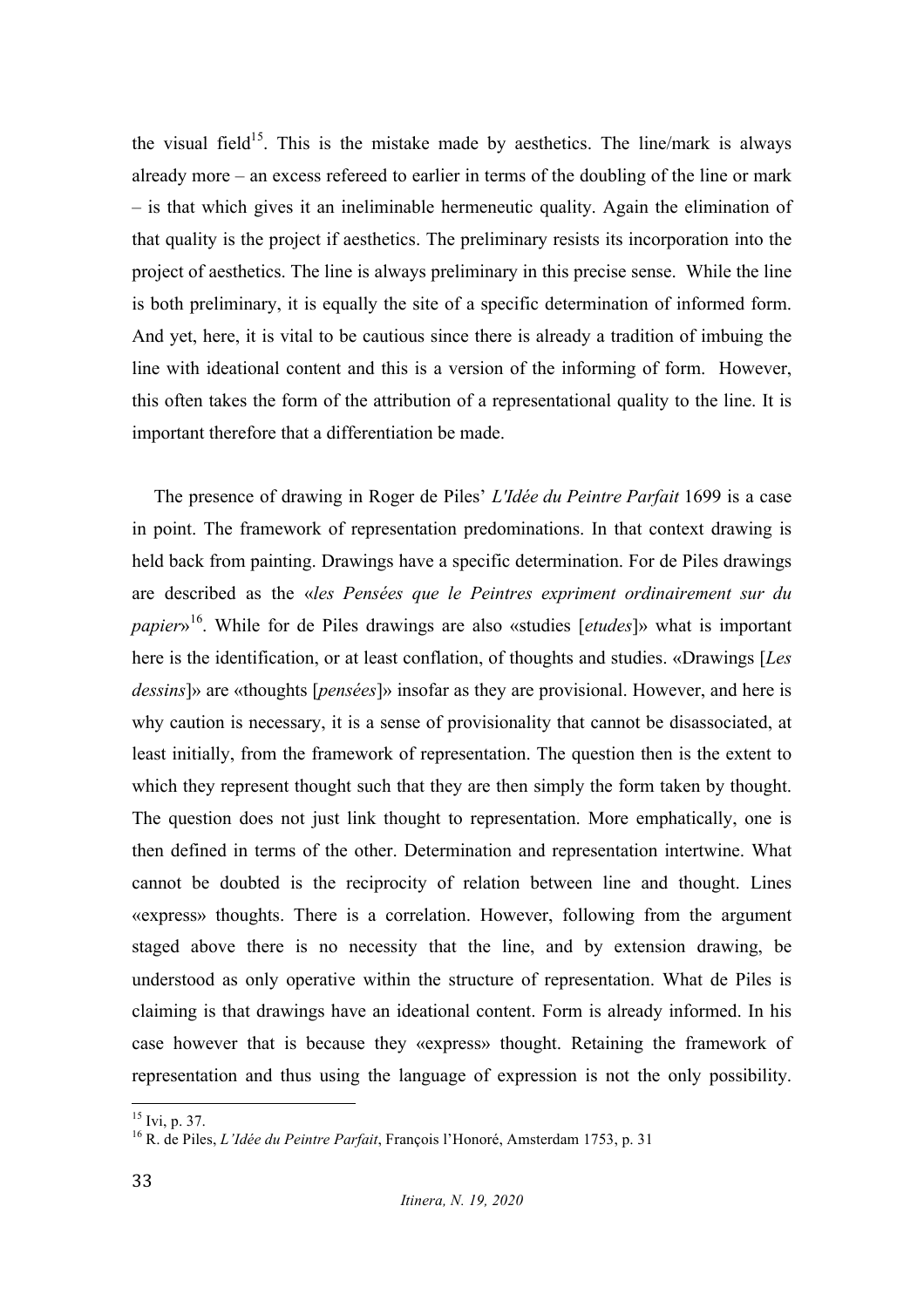the visual field<sup>15</sup>. This is the mistake made by aesthetics. The line/mark is always already more – an excess refereed to earlier in terms of the doubling of the line or mark – is that which gives it an ineliminable hermeneutic quality. Again the elimination of that quality is the project if aesthetics. The preliminary resists its incorporation into the project of aesthetics. The line is always preliminary in this precise sense. While the line is both preliminary, it is equally the site of a specific determination of informed form. And yet, here, it is vital to be cautious since there is already a tradition of imbuing the line with ideational content and this is a version of the informing of form. However, this often takes the form of the attribution of a representational quality to the line. It is important therefore that a differentiation be made.

The presence of drawing in Roger de Piles' *L'Idée du Peintre Parfait* 1699 is a case in point. The framework of representation predominations. In that context drawing is held back from painting. Drawings have a specific determination. For de Piles drawings are described as the «*les Pensées que le Peintres expriment ordinairement sur du papier*»16. While for de Piles drawings are also «studies [*etudes*]» what is important here is the identification, or at least conflation, of thoughts and studies. «Drawings [*Les dessins*]» are «thoughts [*pensées*]» insofar as they are provisional. However, and here is why caution is necessary, it is a sense of provisionality that cannot be disassociated, at least initially, from the framework of representation. The question then is the extent to which they represent thought such that they are then simply the form taken by thought. The question does not just link thought to representation. More emphatically, one is then defined in terms of the other. Determination and representation intertwine. What cannot be doubted is the reciprocity of relation between line and thought. Lines «express» thoughts. There is a correlation. However, following from the argument staged above there is no necessity that the line, and by extension drawing, be understood as only operative within the structure of representation. What de Piles is claiming is that drawings have an ideational content. Form is already informed. In his case however that is because they «express» thought. Retaining the framework of representation and thus using the language of expression is not the only possibility.

<sup>&</sup>lt;sup>15</sup> Ivi, p. 37.<br><sup>16</sup> R. de Piles, *L'Idée du Peintre Parfait*, François l'Honoré, Amsterdam 1753, p. 31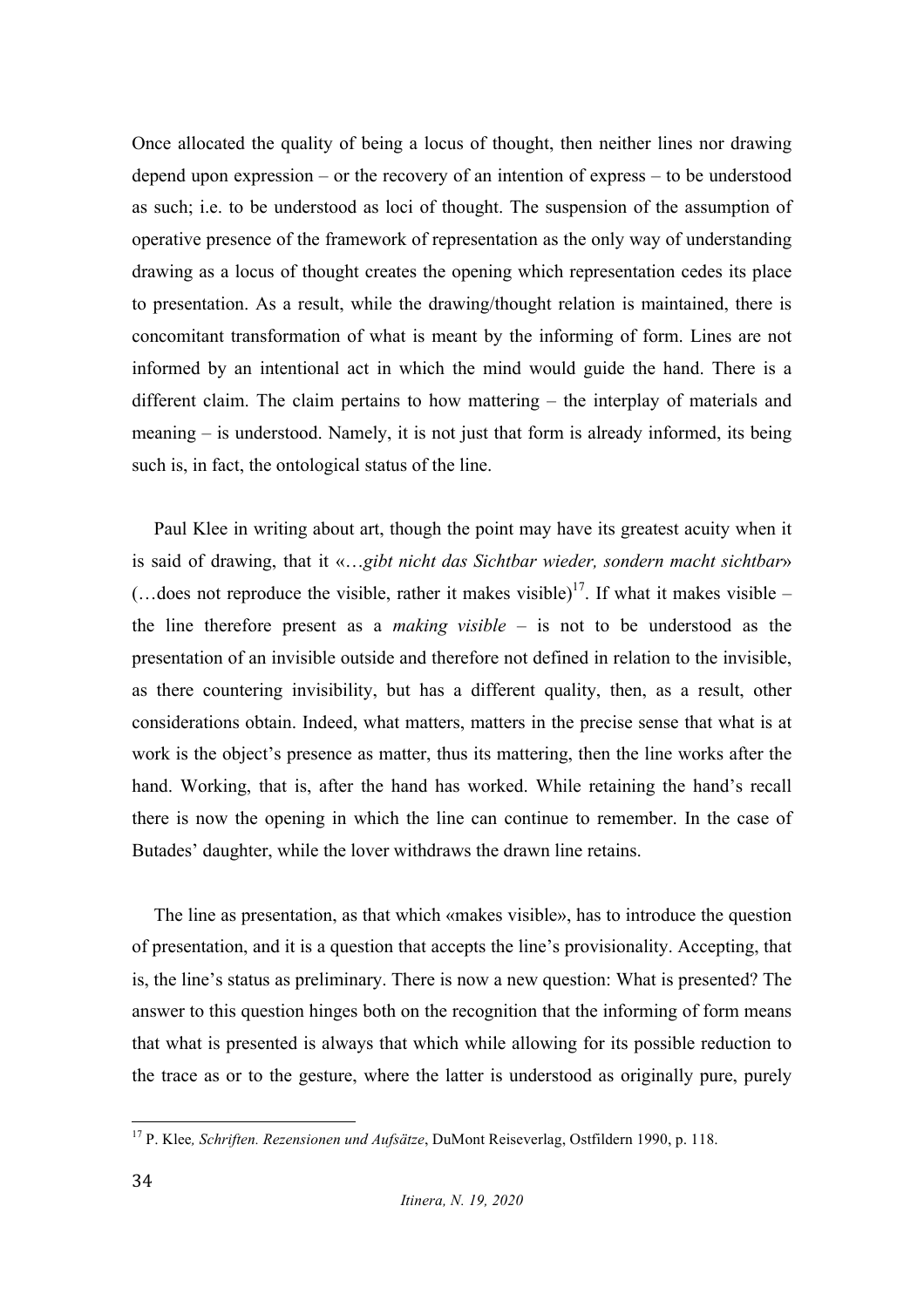Once allocated the quality of being a locus of thought, then neither lines nor drawing depend upon expression – or the recovery of an intention of express – to be understood as such; i.e. to be understood as loci of thought. The suspension of the assumption of operative presence of the framework of representation as the only way of understanding drawing as a locus of thought creates the opening which representation cedes its place to presentation. As a result, while the drawing/thought relation is maintained, there is concomitant transformation of what is meant by the informing of form. Lines are not informed by an intentional act in which the mind would guide the hand. There is a different claim. The claim pertains to how mattering – the interplay of materials and meaning – is understood. Namely, it is not just that form is already informed, its being such is, in fact, the ontological status of the line.

Paul Klee in writing about art, though the point may have its greatest acuity when it is said of drawing, that it «…*gibt nicht das Sichtbar wieder, sondern macht sichtbar*»  $(\dots$  does not reproduce the visible, rather it makes visible)<sup>17</sup>. If what it makes visible – the line therefore present as a *making visible* – is not to be understood as the presentation of an invisible outside and therefore not defined in relation to the invisible, as there countering invisibility, but has a different quality, then, as a result, other considerations obtain. Indeed, what matters, matters in the precise sense that what is at work is the object's presence as matter, thus its mattering, then the line works after the hand. Working, that is, after the hand has worked. While retaining the hand's recall there is now the opening in which the line can continue to remember. In the case of Butades' daughter, while the lover withdraws the drawn line retains.

The line as presentation, as that which «makes visible», has to introduce the question of presentation, and it is a question that accepts the line's provisionality. Accepting, that is, the line's status as preliminary. There is now a new question: What is presented? The answer to this question hinges both on the recognition that the informing of form means that what is presented is always that which while allowing for its possible reduction to the trace as or to the gesture, where the latter is understood as originally pure, purely

 <sup>17</sup> P. Klee*, Schriften. Rezensionen und Aufsätze*, DuMont Reiseverlag, Ostfildern 1990, p. 118.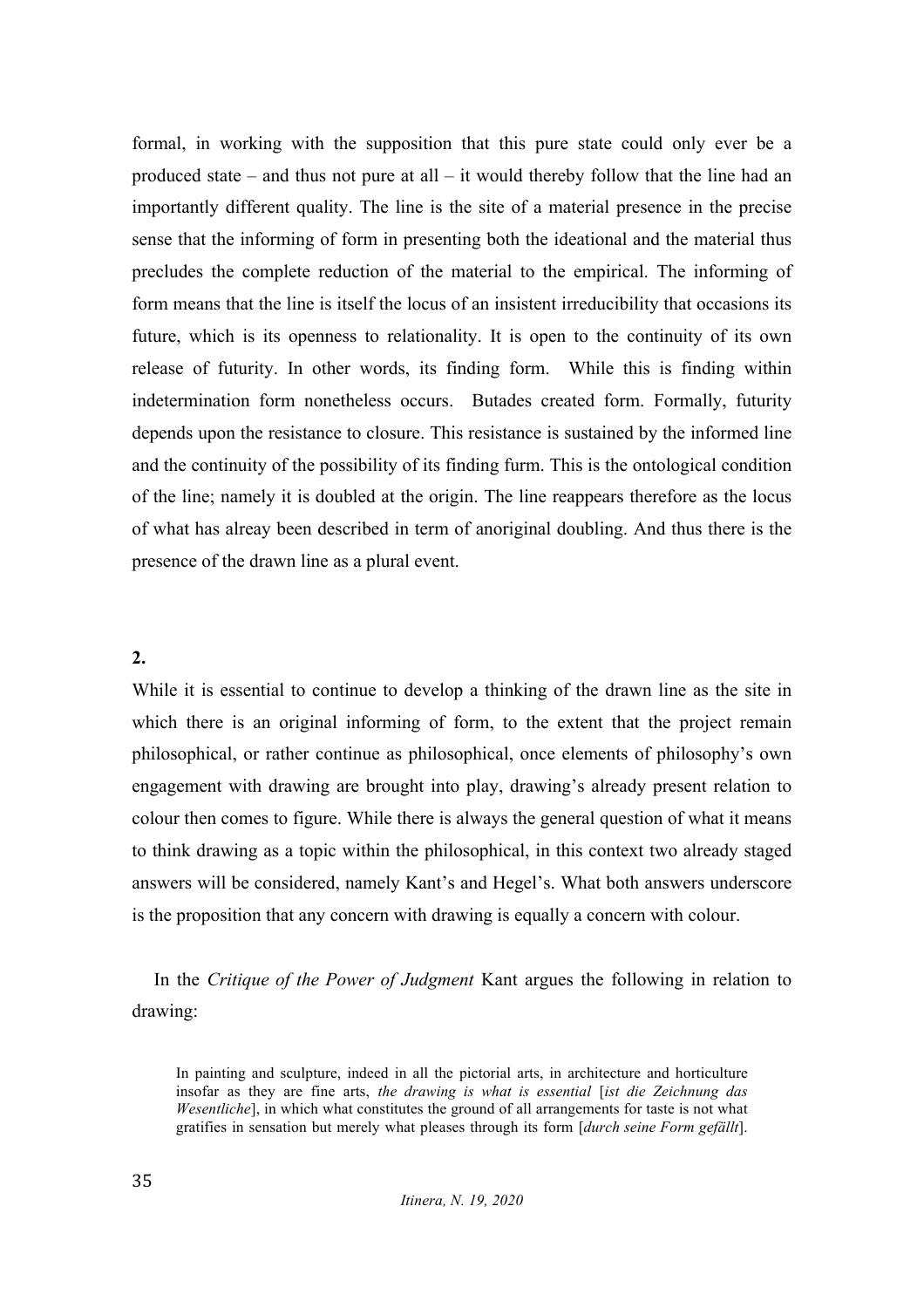formal, in working with the supposition that this pure state could only ever be a produced state – and thus not pure at all – it would thereby follow that the line had an importantly different quality. The line is the site of a material presence in the precise sense that the informing of form in presenting both the ideational and the material thus precludes the complete reduction of the material to the empirical. The informing of form means that the line is itself the locus of an insistent irreducibility that occasions its future, which is its openness to relationality. It is open to the continuity of its own release of futurity. In other words, its finding form. While this is finding within indetermination form nonetheless occurs. Butades created form. Formally, futurity depends upon the resistance to closure. This resistance is sustained by the informed line and the continuity of the possibility of its finding furm. This is the ontological condition of the line; namely it is doubled at the origin. The line reappears therefore as the locus of what has alreay been described in term of anoriginal doubling. And thus there is the presence of the drawn line as a plural event.

#### **2.**

While it is essential to continue to develop a thinking of the drawn line as the site in which there is an original informing of form, to the extent that the project remain philosophical, or rather continue as philosophical, once elements of philosophy's own engagement with drawing are brought into play, drawing's already present relation to colour then comes to figure. While there is always the general question of what it means to think drawing as a topic within the philosophical, in this context two already staged answers will be considered, namely Kant's and Hegel's. What both answers underscore is the proposition that any concern with drawing is equally a concern with colour.

In the *Critique of the Power of Judgment* Kant argues the following in relation to drawing:

In painting and sculpture, indeed in all the pictorial arts, in architecture and horticulture insofar as they are fine arts, *the drawing is what is essential* [*ist die Zeichnung das Wesentliche*], in which what constitutes the ground of all arrangements for taste is not what gratifies in sensation but merely what pleases through its form [*durch seine Form gefällt*].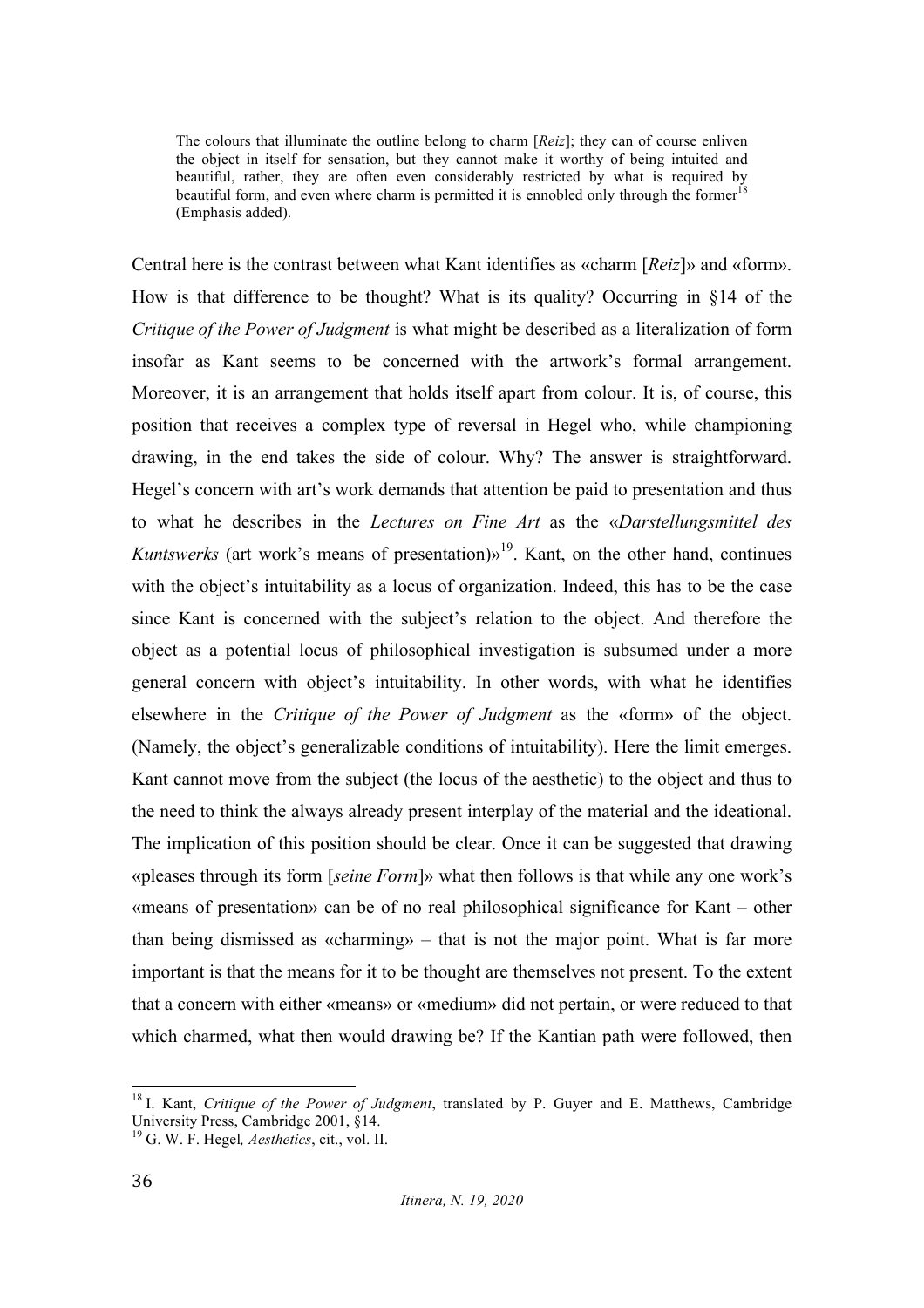The colours that illuminate the outline belong to charm [*Reiz*]; they can of course enliven the object in itself for sensation, but they cannot make it worthy of being intuited and beautiful, rather, they are often even considerably restricted by what is required by beautiful form, and even where charm is permitted it is ennobled only through the former<sup>18</sup> (Emphasis added).

Central here is the contrast between what Kant identifies as «charm [*Reiz*]» and «form». How is that difference to be thought? What is its quality? Occurring in §14 of the *Critique of the Power of Judgment* is what might be described as a literalization of form insofar as Kant seems to be concerned with the artwork's formal arrangement. Moreover, it is an arrangement that holds itself apart from colour. It is, of course, this position that receives a complex type of reversal in Hegel who, while championing drawing, in the end takes the side of colour. Why? The answer is straightforward. Hegel's concern with art's work demands that attention be paid to presentation and thus to what he describes in the *Lectures on Fine Art* as the «*Darstellungsmittel des Kuntswerks* (art work's means of presentation) $v^{19}$ . Kant, on the other hand, continues with the object's intuitability as a locus of organization. Indeed, this has to be the case since Kant is concerned with the subject's relation to the object. And therefore the object as a potential locus of philosophical investigation is subsumed under a more general concern with object's intuitability. In other words, with what he identifies elsewhere in the *Critique of the Power of Judgment* as the «form» of the object. (Namely, the object's generalizable conditions of intuitability). Here the limit emerges. Kant cannot move from the subject (the locus of the aesthetic) to the object and thus to the need to think the always already present interplay of the material and the ideational. The implication of this position should be clear. Once it can be suggested that drawing «pleases through its form [*seine Form*]» what then follows is that while any one work's «means of presentation» can be of no real philosophical significance for Kant – other than being dismissed as «charming» – that is not the major point. What is far more important is that the means for it to be thought are themselves not present. To the extent that a concern with either «means» or «medium» did not pertain, or were reduced to that which charmed, what then would drawing be? If the Kantian path were followed, then

 <sup>18</sup> I. Kant, *Critique of the Power of Judgment*, translated by P. Guyer and E. Matthews, Cambridge University Press, Cambridge 2001, §14. <sup>19</sup> G. W. F. Hegel*, Aesthetics*, cit., vol. II.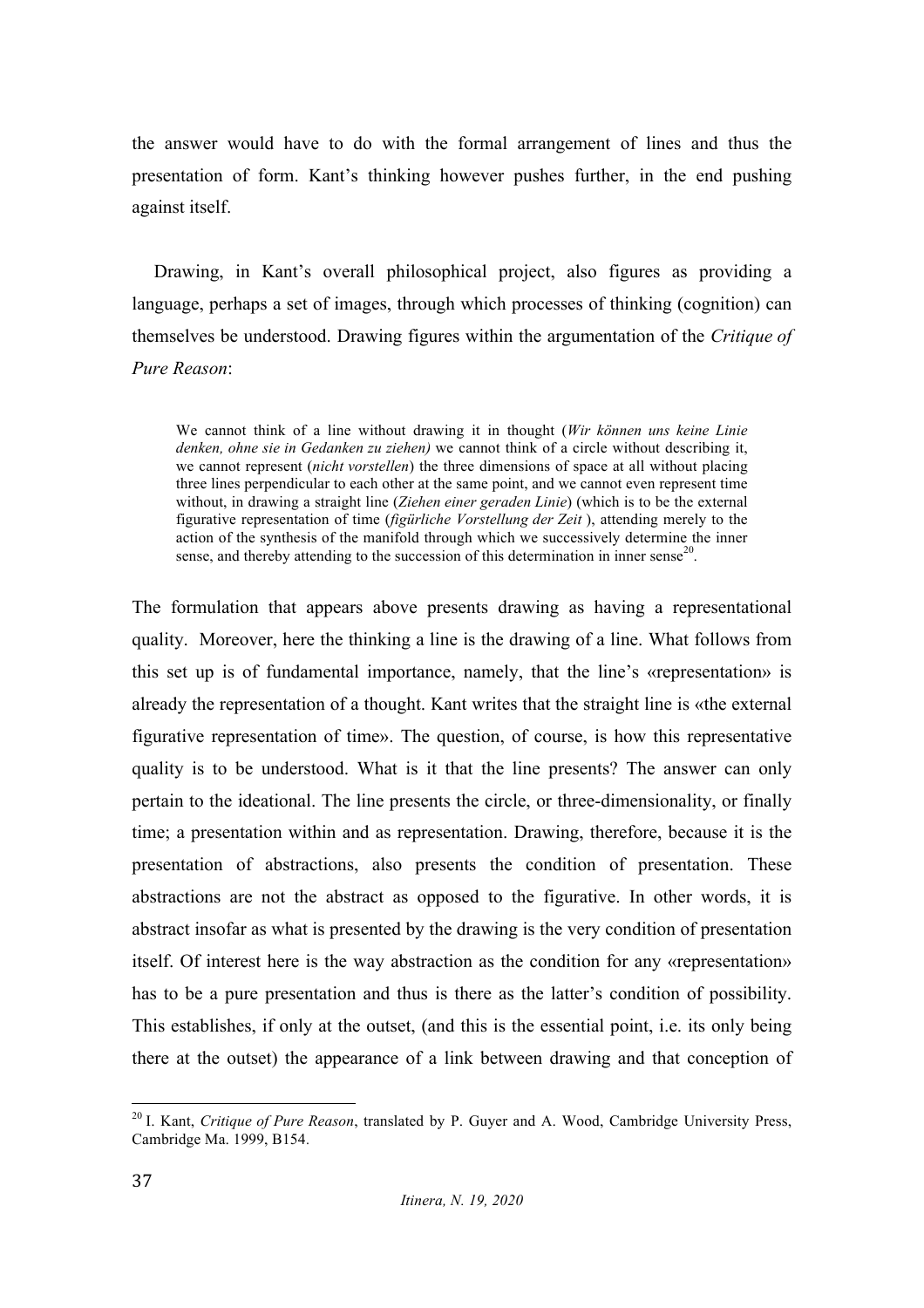the answer would have to do with the formal arrangement of lines and thus the presentation of form. Kant's thinking however pushes further, in the end pushing against itself.

Drawing, in Kant's overall philosophical project, also figures as providing a language, perhaps a set of images, through which processes of thinking (cognition) can themselves be understood. Drawing figures within the argumentation of the *Critique of Pure Reason*:

We cannot think of a line without drawing it in thought (*Wir können uns keine Linie denken, ohne sie in Gedanken zu ziehen)* we cannot think of a circle without describing it, we cannot represent (*nicht vorstellen*) the three dimensions of space at all without placing three lines perpendicular to each other at the same point, and we cannot even represent time without, in drawing a straight line (*Ziehen einer geraden Linie*) (which is to be the external figurative representation of time (*figürliche Vorstellung der Zeit* ), attending merely to the action of the synthesis of the manifold through which we successively determine the inner sense, and thereby attending to the succession of this determination in inner sense<sup>20</sup>.

The formulation that appears above presents drawing as having a representational quality. Moreover, here the thinking a line is the drawing of a line. What follows from this set up is of fundamental importance, namely, that the line's «representation» is already the representation of a thought. Kant writes that the straight line is «the external figurative representation of time». The question, of course, is how this representative quality is to be understood. What is it that the line presents? The answer can only pertain to the ideational. The line presents the circle, or three-dimensionality, or finally time; a presentation within and as representation. Drawing, therefore, because it is the presentation of abstractions, also presents the condition of presentation. These abstractions are not the abstract as opposed to the figurative. In other words, it is abstract insofar as what is presented by the drawing is the very condition of presentation itself. Of interest here is the way abstraction as the condition for any «representation» has to be a pure presentation and thus is there as the latter's condition of possibility. This establishes, if only at the outset, (and this is the essential point, i.e. its only being there at the outset) the appearance of a link between drawing and that conception of

 <sup>20</sup> I. Kant, *Critique of Pure Reason*, translated by P. Guyer and A. Wood, Cambridge University Press, Cambridge Ma. 1999, B154.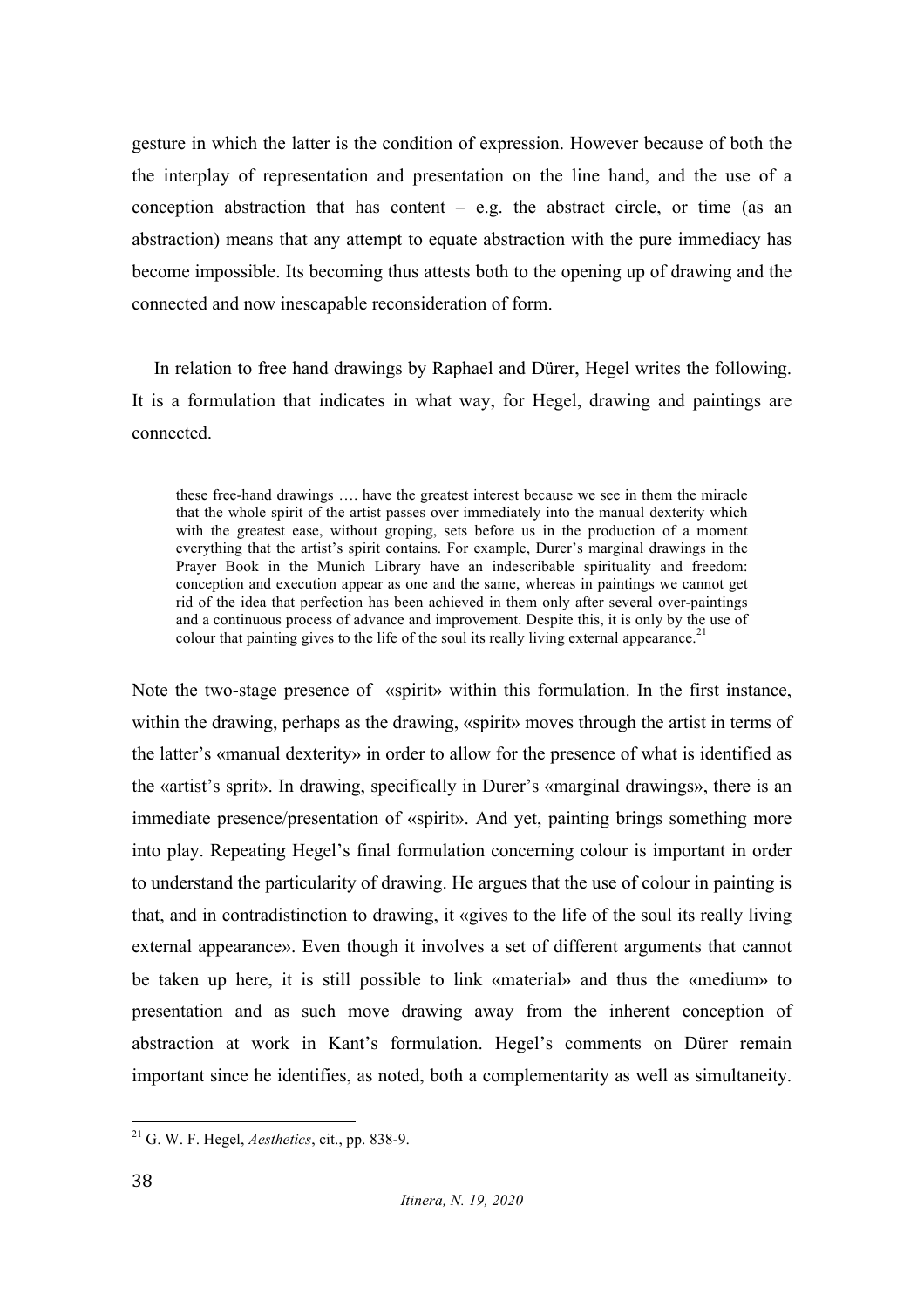gesture in which the latter is the condition of expression. However because of both the the interplay of representation and presentation on the line hand, and the use of a conception abstraction that has content  $-$  e.g. the abstract circle, or time (as an abstraction) means that any attempt to equate abstraction with the pure immediacy has become impossible. Its becoming thus attests both to the opening up of drawing and the connected and now inescapable reconsideration of form.

In relation to free hand drawings by Raphael and Dürer, Hegel writes the following. It is a formulation that indicates in what way, for Hegel, drawing and paintings are connected.

these free-hand drawings …. have the greatest interest because we see in them the miracle that the whole spirit of the artist passes over immediately into the manual dexterity which with the greatest ease, without groping, sets before us in the production of a moment everything that the artist's spirit contains. For example, Durer's marginal drawings in the Prayer Book in the Munich Library have an indescribable spirituality and freedom: conception and execution appear as one and the same, whereas in paintings we cannot get rid of the idea that perfection has been achieved in them only after several over-paintings and a continuous process of advance and improvement. Despite this, it is only by the use of colour that painting gives to the life of the soul its really living external appearance.<sup>21</sup>

Note the two-stage presence of «spirit» within this formulation. In the first instance, within the drawing, perhaps as the drawing, «spirit» moves through the artist in terms of the latter's «manual dexterity» in order to allow for the presence of what is identified as the «artist's sprit». In drawing, specifically in Durer's «marginal drawings», there is an immediate presence/presentation of «spirit». And yet, painting brings something more into play. Repeating Hegel's final formulation concerning colour is important in order to understand the particularity of drawing. He argues that the use of colour in painting is that, and in contradistinction to drawing, it «gives to the life of the soul its really living external appearance». Even though it involves a set of different arguments that cannot be taken up here, it is still possible to link «material» and thus the «medium» to presentation and as such move drawing away from the inherent conception of abstraction at work in Kant's formulation. Hegel's comments on Dürer remain important since he identifies, as noted, both a complementarity as well as simultaneity.

 <sup>21</sup> G. W. F. Hegel, *Aesthetics*, cit., pp. 838-9.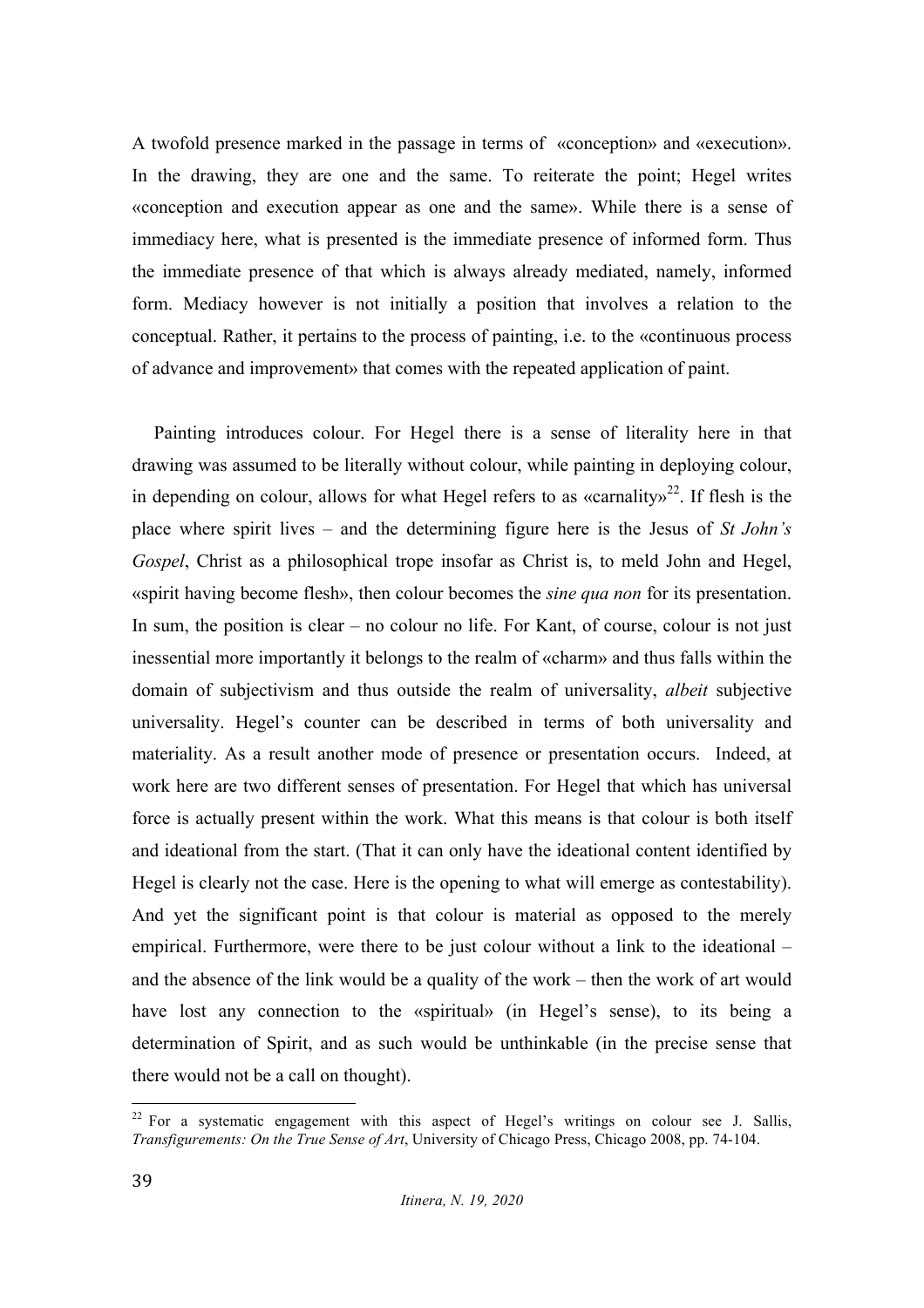A twofold presence marked in the passage in terms of «conception» and «execution». In the drawing, they are one and the same. To reiterate the point; Hegel writes «conception and execution appear as one and the same». While there is a sense of immediacy here, what is presented is the immediate presence of informed form. Thus the immediate presence of that which is always already mediated, namely, informed form. Mediacy however is not initially a position that involves a relation to the conceptual. Rather, it pertains to the process of painting, i.e. to the «continuous process of advance and improvement» that comes with the repeated application of paint.

Painting introduces colour. For Hegel there is a sense of literality here in that drawing was assumed to be literally without colour, while painting in deploying colour, in depending on colour, allows for what Hegel refers to as «carnality»<sup>22</sup>. If flesh is the place where spirit lives – and the determining figure here is the Jesus of *St John's Gospel*, Christ as a philosophical trope insofar as Christ is, to meld John and Hegel, «spirit having become flesh», then colour becomes the *sine qua non* for its presentation. In sum, the position is clear – no colour no life. For Kant, of course, colour is not just inessential more importantly it belongs to the realm of «charm» and thus falls within the domain of subjectivism and thus outside the realm of universality, *albeit* subjective universality. Hegel's counter can be described in terms of both universality and materiality. As a result another mode of presence or presentation occurs. Indeed, at work here are two different senses of presentation. For Hegel that which has universal force is actually present within the work. What this means is that colour is both itself and ideational from the start. (That it can only have the ideational content identified by Hegel is clearly not the case. Here is the opening to what will emerge as contestability). And yet the significant point is that colour is material as opposed to the merely empirical. Furthermore, were there to be just colour without a link to the ideational – and the absence of the link would be a quality of the work – then the work of art would have lost any connection to the «spiritual» (in Hegel's sense), to its being a determination of Spirit, and as such would be unthinkable (in the precise sense that there would not be a call on thought).

 $22$  For a systematic engagement with this aspect of Hegel's writings on colour see J. Sallis, *Transfigurements: On the True Sense of Art*, University of Chicago Press, Chicago 2008, pp. 74-104.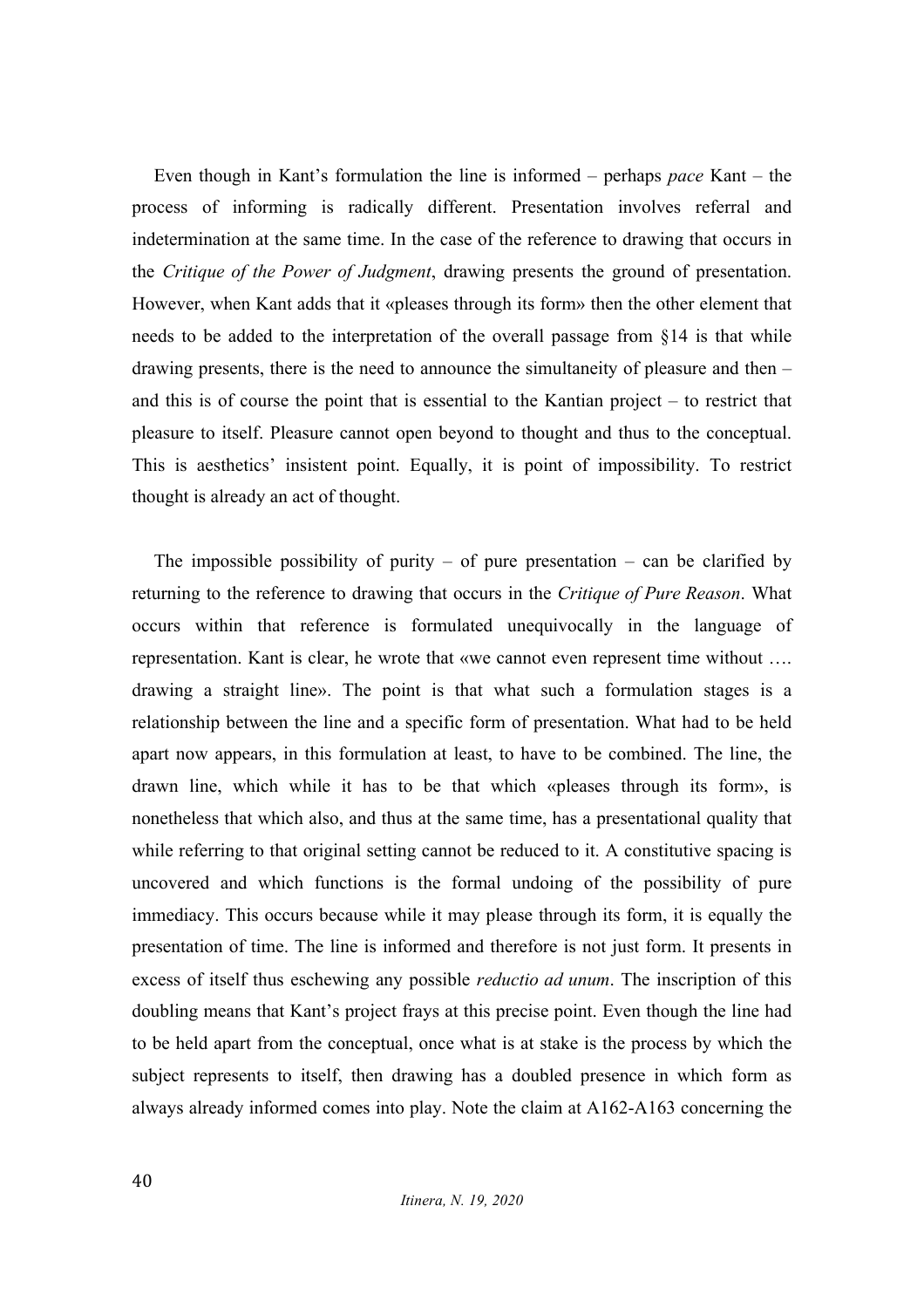Even though in Kant's formulation the line is informed – perhaps *pace* Kant – the process of informing is radically different. Presentation involves referral and indetermination at the same time. In the case of the reference to drawing that occurs in the *Critique of the Power of Judgment*, drawing presents the ground of presentation. However, when Kant adds that it «pleases through its form» then the other element that needs to be added to the interpretation of the overall passage from §14 is that while drawing presents, there is the need to announce the simultaneity of pleasure and then – and this is of course the point that is essential to the Kantian project – to restrict that pleasure to itself. Pleasure cannot open beyond to thought and thus to the conceptual. This is aesthetics' insistent point. Equally, it is point of impossibility. To restrict thought is already an act of thought.

The impossible possibility of purity – of pure presentation – can be clarified by returning to the reference to drawing that occurs in the *Critique of Pure Reason*. What occurs within that reference is formulated unequivocally in the language of representation. Kant is clear, he wrote that «we cannot even represent time without …. drawing a straight line». The point is that what such a formulation stages is a relationship between the line and a specific form of presentation. What had to be held apart now appears, in this formulation at least, to have to be combined. The line, the drawn line, which while it has to be that which «pleases through its form», is nonetheless that which also, and thus at the same time, has a presentational quality that while referring to that original setting cannot be reduced to it. A constitutive spacing is uncovered and which functions is the formal undoing of the possibility of pure immediacy. This occurs because while it may please through its form, it is equally the presentation of time. The line is informed and therefore is not just form. It presents in excess of itself thus eschewing any possible *reductio ad unum*. The inscription of this doubling means that Kant's project frays at this precise point. Even though the line had to be held apart from the conceptual, once what is at stake is the process by which the subject represents to itself, then drawing has a doubled presence in which form as always already informed comes into play. Note the claim at A162-A163 concerning the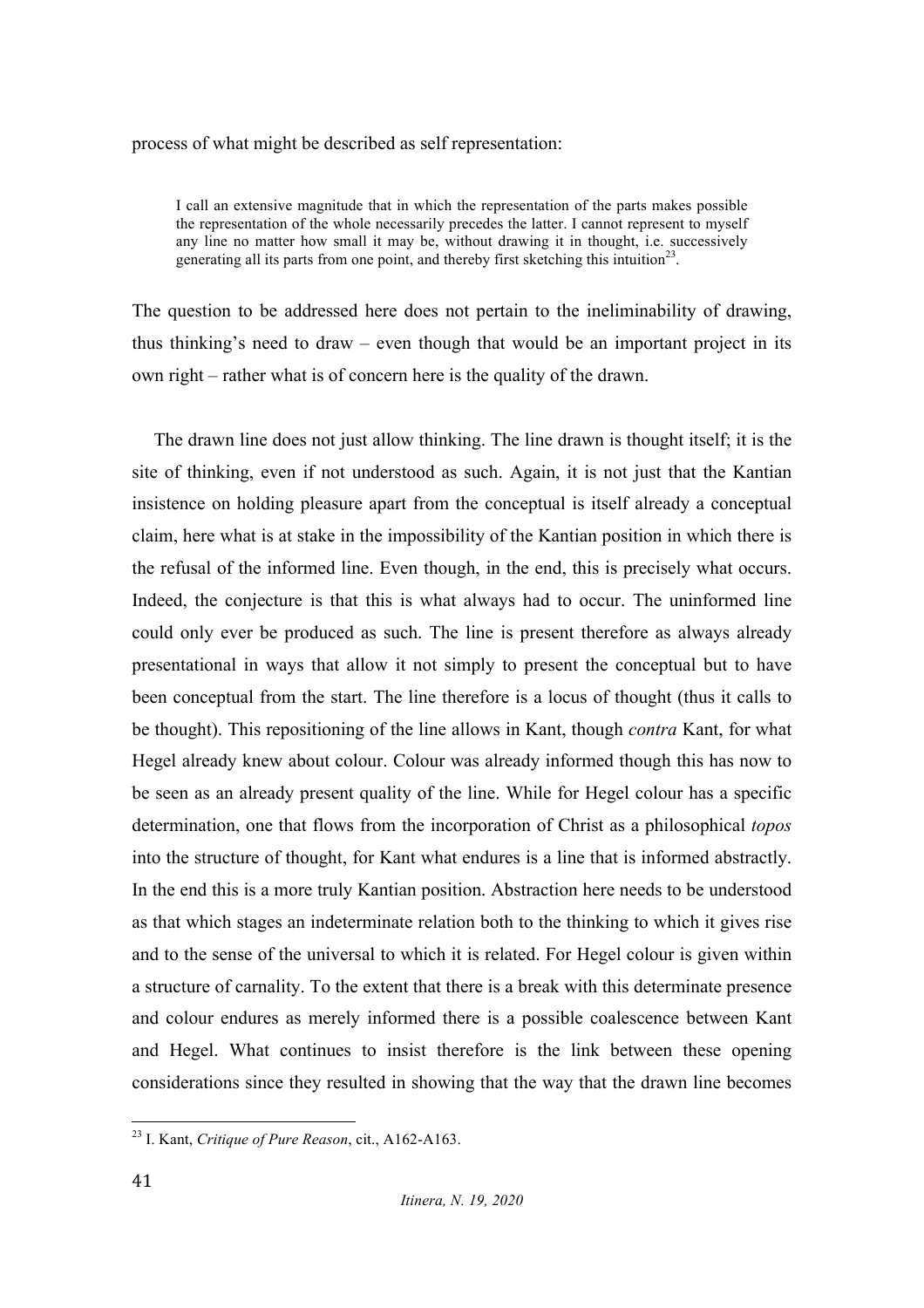#### process of what might be described as self representation:

I call an extensive magnitude that in which the representation of the parts makes possible the representation of the whole necessarily precedes the latter. I cannot represent to myself any line no matter how small it may be, without drawing it in thought, i.e. successively generating all its parts from one point, and thereby first sketching this intuition<sup>23</sup>.

The question to be addressed here does not pertain to the ineliminability of drawing, thus thinking's need to draw – even though that would be an important project in its own right – rather what is of concern here is the quality of the drawn.

The drawn line does not just allow thinking. The line drawn is thought itself; it is the site of thinking, even if not understood as such. Again, it is not just that the Kantian insistence on holding pleasure apart from the conceptual is itself already a conceptual claim, here what is at stake in the impossibility of the Kantian position in which there is the refusal of the informed line. Even though, in the end, this is precisely what occurs. Indeed, the conjecture is that this is what always had to occur. The uninformed line could only ever be produced as such. The line is present therefore as always already presentational in ways that allow it not simply to present the conceptual but to have been conceptual from the start. The line therefore is a locus of thought (thus it calls to be thought). This repositioning of the line allows in Kant, though *contra* Kant, for what Hegel already knew about colour. Colour was already informed though this has now to be seen as an already present quality of the line. While for Hegel colour has a specific determination, one that flows from the incorporation of Christ as a philosophical *topos* into the structure of thought, for Kant what endures is a line that is informed abstractly. In the end this is a more truly Kantian position. Abstraction here needs to be understood as that which stages an indeterminate relation both to the thinking to which it gives rise and to the sense of the universal to which it is related. For Hegel colour is given within a structure of carnality. To the extent that there is a break with this determinate presence and colour endures as merely informed there is a possible coalescence between Kant and Hegel. What continues to insist therefore is the link between these opening considerations since they resulted in showing that the way that the drawn line becomes

 <sup>23</sup> I. Kant, *Critique of Pure Reason*, cit., A162-A163.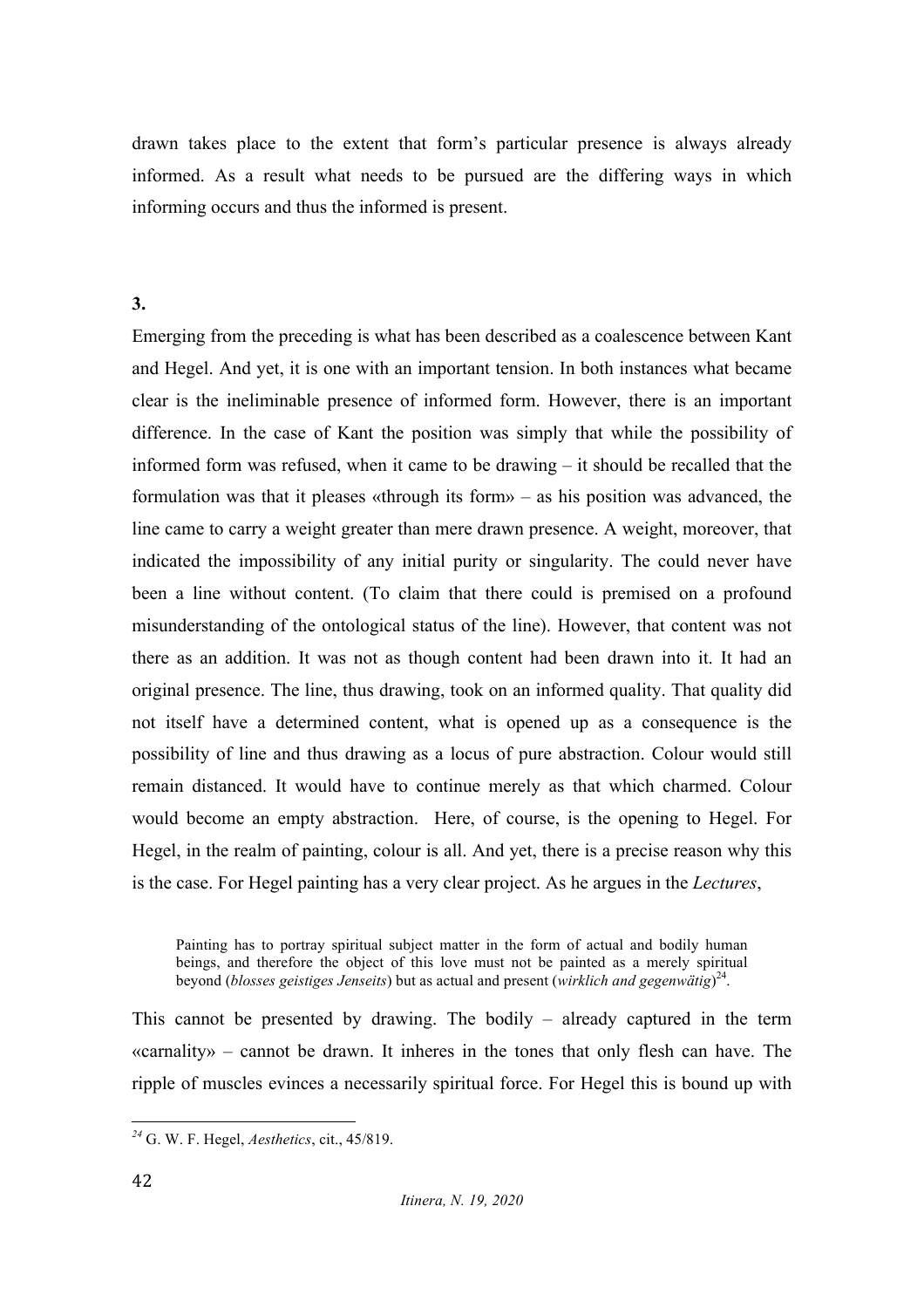drawn takes place to the extent that form's particular presence is always already informed. As a result what needs to be pursued are the differing ways in which informing occurs and thus the informed is present.

#### **3.**

Emerging from the preceding is what has been described as a coalescence between Kant and Hegel. And yet, it is one with an important tension. In both instances what became clear is the ineliminable presence of informed form. However, there is an important difference. In the case of Kant the position was simply that while the possibility of informed form was refused, when it came to be drawing – it should be recalled that the formulation was that it pleases «through its form» – as his position was advanced, the line came to carry a weight greater than mere drawn presence. A weight, moreover, that indicated the impossibility of any initial purity or singularity. The could never have been a line without content. (To claim that there could is premised on a profound misunderstanding of the ontological status of the line). However, that content was not there as an addition. It was not as though content had been drawn into it. It had an original presence. The line, thus drawing, took on an informed quality. That quality did not itself have a determined content, what is opened up as a consequence is the possibility of line and thus drawing as a locus of pure abstraction. Colour would still remain distanced. It would have to continue merely as that which charmed. Colour would become an empty abstraction. Here, of course, is the opening to Hegel. For Hegel, in the realm of painting, colour is all. And yet, there is a precise reason why this is the case. For Hegel painting has a very clear project. As he argues in the *Lectures*,

Painting has to portray spiritual subject matter in the form of actual and bodily human beings, and therefore the object of this love must not be painted as a merely spiritual beyond (*blosses geistiges Jenseits*) but as actual and present (*wirklich and gegenwätig*) 24.

This cannot be presented by drawing. The bodily – already captured in the term «carnality» – cannot be drawn. It inheres in the tones that only flesh can have. The ripple of muscles evinces a necessarily spiritual force. For Hegel this is bound up with

 *<sup>24</sup>* G. W. F. Hegel, *Aesthetics*, cit., 45/819.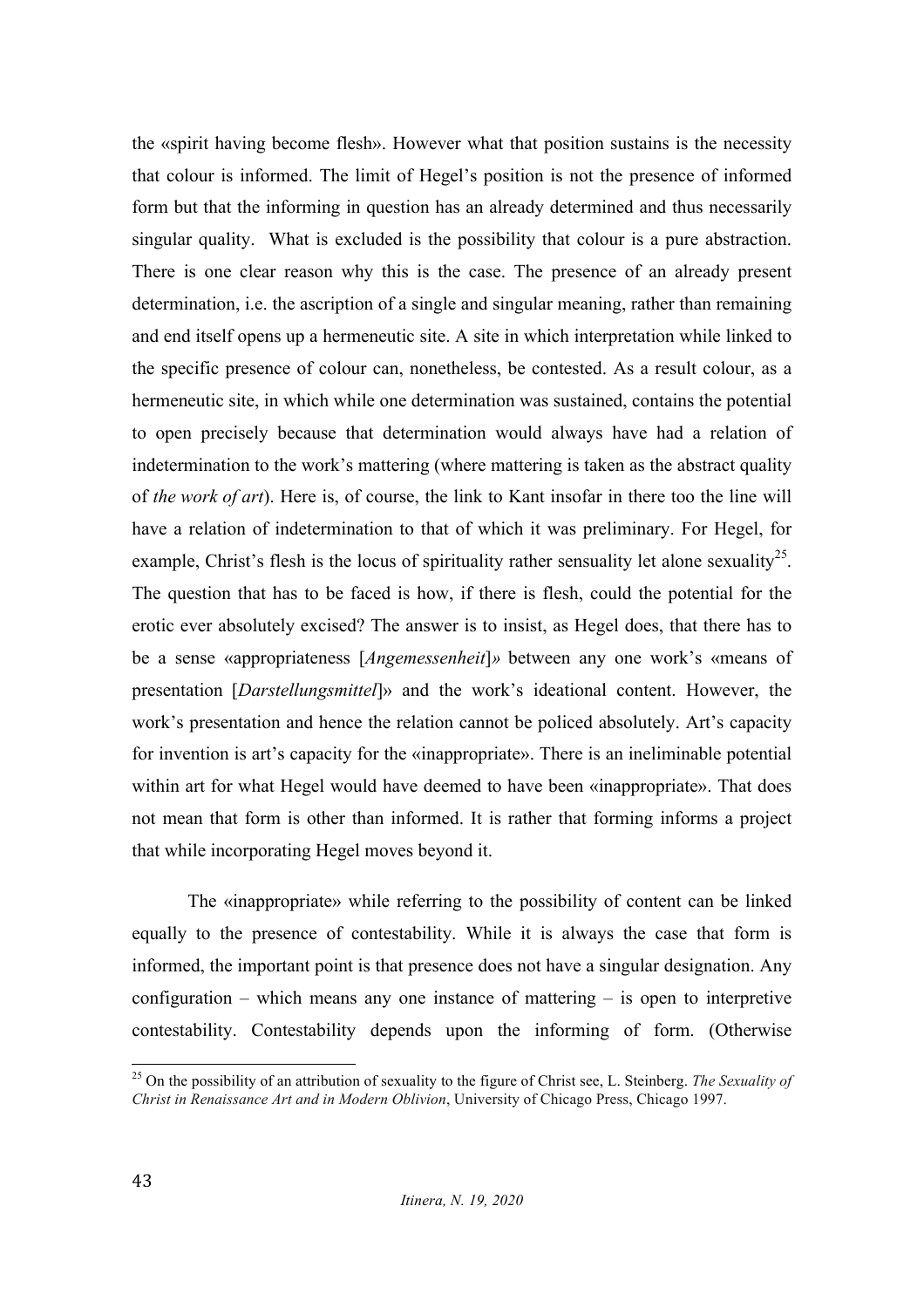the «spirit having become flesh». However what that position sustains is the necessity that colour is informed. The limit of Hegel's position is not the presence of informed form but that the informing in question has an already determined and thus necessarily singular quality. What is excluded is the possibility that colour is a pure abstraction. There is one clear reason why this is the case. The presence of an already present determination, i.e. the ascription of a single and singular meaning, rather than remaining and end itself opens up a hermeneutic site. A site in which interpretation while linked to the specific presence of colour can, nonetheless, be contested. As a result colour, as a hermeneutic site, in which while one determination was sustained, contains the potential to open precisely because that determination would always have had a relation of indetermination to the work's mattering (where mattering is taken as the abstract quality of *the work of art*). Here is, of course, the link to Kant insofar in there too the line will have a relation of indetermination to that of which it was preliminary. For Hegel, for example, Christ's flesh is the locus of spirituality rather sensuality let alone sexuality<sup>25</sup>. The question that has to be faced is how, if there is flesh, could the potential for the erotic ever absolutely excised? The answer is to insist, as Hegel does, that there has to be a sense «appropriateness [*Angemessenheit*]*»* between any one work's «means of presentation [*Darstellungsmittel*]» and the work's ideational content. However, the work's presentation and hence the relation cannot be policed absolutely. Art's capacity for invention is art's capacity for the «inappropriate». There is an ineliminable potential within art for what Hegel would have deemed to have been «inappropriate». That does not mean that form is other than informed. It is rather that forming informs a project that while incorporating Hegel moves beyond it.

The «inappropriate» while referring to the possibility of content can be linked equally to the presence of contestability. While it is always the case that form is informed, the important point is that presence does not have a singular designation. Any configuration – which means any one instance of mattering – is open to interpretive contestability. Contestability depends upon the informing of form. (Otherwise

 <sup>25</sup> On the possibility of an attribution of sexuality to the figure of Christ see, L. Steinberg. *The Sexuality of Christ in Renaissance Art and in Modern Oblivion*, University of Chicago Press, Chicago 1997.